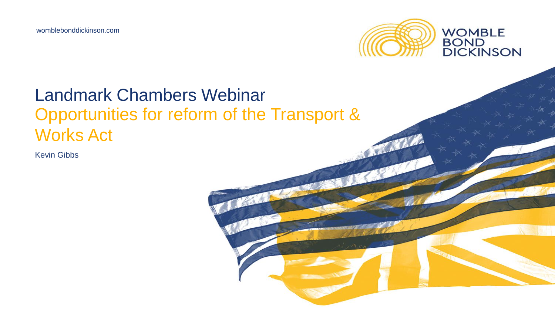

### Landmark Chambers Webinar Opportunities for reform of the Transport & Works Act

Kevin Gibbs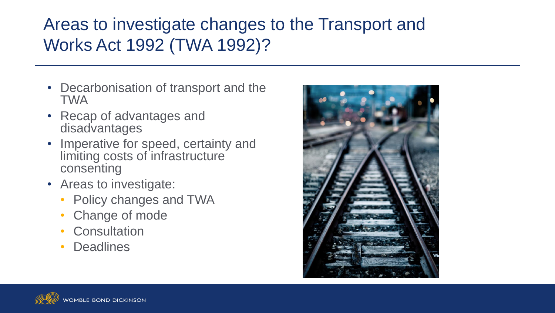## Areas to investigate changes to the Transport and Works Act 1992 (TWA 1992)?

- Decarbonisation of transport and the TWA
- Recap of advantages and disadvantages
- Imperative for speed, certainty and limiting costs of infrastructure consenting
- Areas to investigate:
	- Policy changes and TWA
	- Change of mode
	- **Consultation**
	- Deadlines



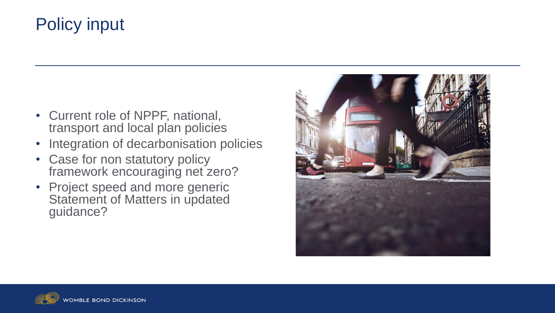# Policy input

- Current role of NPPF, national, transport and local plan policies
- Integration of decarbonisation policies
- Case for non statutory policy framework encouraging net zero?
- Project speed and more generic Statement of Matters in updated guidance?



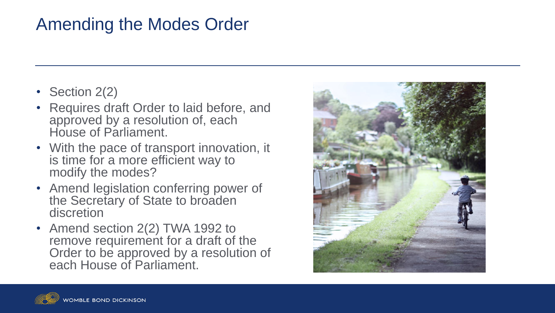## Amending the Modes Order

- Section 2(2)
- Requires draft Order to laid before, and approved by a resolution of, each House of Parliament.
- With the pace of transport innovation, it is time for a more efficient way to modify the modes?
- Amend legislation conferring power of the Secretary of State to broaden discretion
- Amend section 2(2) TWA 1992 to remove requirement for a draft of the Order to be approved by a resolution of each House of Parliament.



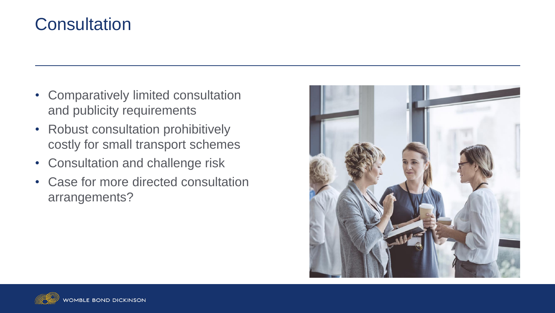#### **Consultation**

- Comparatively limited consultation and publicity requirements
- Robust consultation prohibitively costly for small transport schemes
- Consultation and challenge risk
- Case for more directed consultation arrangements?



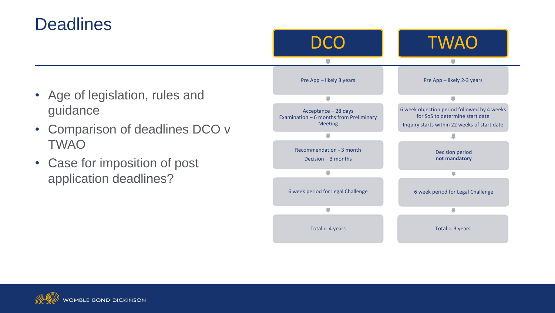#### **Deadlines**